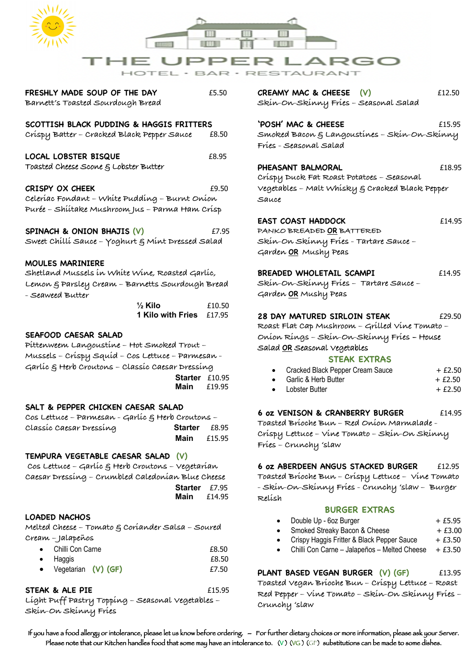

**FRESHLY MADE SOUP OF THE DAY** £5.50 **Barnett's Toasted Sourdough Bread**

## **SCOTTISH BLACK PUDDING & HAGGIS FRITTERS**

**Crispy Batter – Cracked Black Pepper Sauce** £8.50

LOCAL LOBSTER BISQUE **E8.95** Toasted Cheese Scone & Lobster Butter

### **CRISPY OX CHEEK** £9.50

**Celeriac Fondant – White Pudding – Burnt Onion Purée – Shiitake Mushroom Jus – Parma Ham Crisp**

### **SPINACH & ONION BHAJIS (V)**  $E7.95$

**Sweet Chilli Sauce – Yoghurt & Mint Dressed Salad** 

### **MOULES MARINIERE**

**Shetland Mussels in White Wine, Roasted Garlic, Lemon & Parsley Cream – Barnetts Sourdough Bread - Seaweed Butter** 

 **½ Kilo** £10.50 **1 Kilo with Fries** £17.95

### **SEAFOOD CAESAR SALAD**

**Pittenweem Langoustine – Hot Smoked Trout – Mussels – Crispy Squid – Cos Lettuce – Parmesan - Garlic & Herb Croutons – Classic Caesar Dressing Starter** £10.95 **Main** £19.95

### **SALT & PEPPER CHICKEN CAESAR SALAD**

**Cos Lettuce – Parmesan - Garlic & Herb Croutons – Classic Caesar Dressing Starter** £8.95 **Main**  $£15.95$ 

### **TEMPURA VEGETABLE CAESAR SALAD (V)**

**Cos Lettuce – Garlic & Herb Croutons – Vegetarian Caesar Dressing – Crumbled Caledonian Blue Cheese Starter** £7.95 **Main** £14.95

### **LOADED NACHOS**

**Melted Cheese – Tomato & Coriander Salsa – Soured Cream – Jalapeños** 

| • Chilli Con Carne    | £8.50 |
|-----------------------|-------|
| $\bullet$ Haggis      | £8.50 |
| • Vegetarian (V) (GF) | £7.50 |

## **STEAK & ALE PIE** £15.95

**Light Puff Pastry Topping – Seasonal Vegetables – Skin-On Skinny Fries** 

**CREAMY MAC & CHEESE (V)** £12.50 **Skin-On-Skinny Fries – Seasonal Salad** 

**'POSH' MAC & CHEESE** £15.95 **Smoked Bacon & Langoustines – Skin-On-Skinny Fries - Seasonal Salad**

### PHEASANT BALMORAL **E18.95**

**Crispy Duck Fat Roast Potatoes – Seasonal Vegetables – Malt Whisky & Cracked Black Pepper Sauce**

## **EAST COAST HADDOCK** £14.95

**PANKO BREADED OR BATTERED Skin-On Skinny Fries - Tartare Sauce – Garden OR Mushy Peas**

### **BREADED WHOLETAIL SCAMPI** £14.95

**Skin-On-Skinny Fries – Tartare Sauce – Garden OR Mushy Peas**

### **28 DAY MATURED SIRLOIN STEAK**  $£29.50$

**Roast Flat Cap Mushroom – Grilled Vine Tomato – Onion Rings – Skin-On-Skinny Fries** – House Salad **OR** Seasonal Vegetables

### **STEAK EXTRAS**

|  | Cracked Black Pepper Cream Sauce | $+£2.50$ |
|--|----------------------------------|----------|
|--|----------------------------------|----------|

- Garlic & Herb Butter  $+ E2.50$
- $\frac{1}{2}$ obster Butter  $\frac{1}{2}$  +  $\frac{1}{2}$  +  $\frac{1}{2}$  50

## **6 oz VENISON & CRANBERRY BURGER** £14.95

**Toasted Brioche Bun – Red Onion Marmalade - Crispy Lettuce – Vine Tomato – Skin-On Skinny Fries – Crunchy 'slaw**

### **6 oz ABERDEEN ANGUS STACKED BURGER** £12.95

**Toasted Brioche Bun – Crispy Lettuce – Vine Tomato - Skin-On-Skinny Fries - Crunchy 'slaw – Burger Relish** 

### **BURGER EXTRAS**

- Double Up 6oz Burger + £5.95
- Smoked Streaky Bacon & Cheese + £3.00
- Crispy Haggis Fritter & Black Pepper Sauce  $+ E3.50$
- Chilli Con Carne Jalapeños Melted Cheese  $+ E3.50$

## **PLANT BASED VEGAN BURGER (V) (GF)** £13.95

**Toasted Vegan Brioche Bun – Crispy Lettuce – Roast Red Pepper – Vine Tomato – Skin-On Skinny Fries – Crunchy 'slaw**

If you have a food allergy or intolerance, please let us know before ordering. – For further dietary choices or more information, please ask your Server. Please note that our Kitchen handles food that some may have an intolerance to. (V) (VG) (GF) substitutions can be made to some dishes.